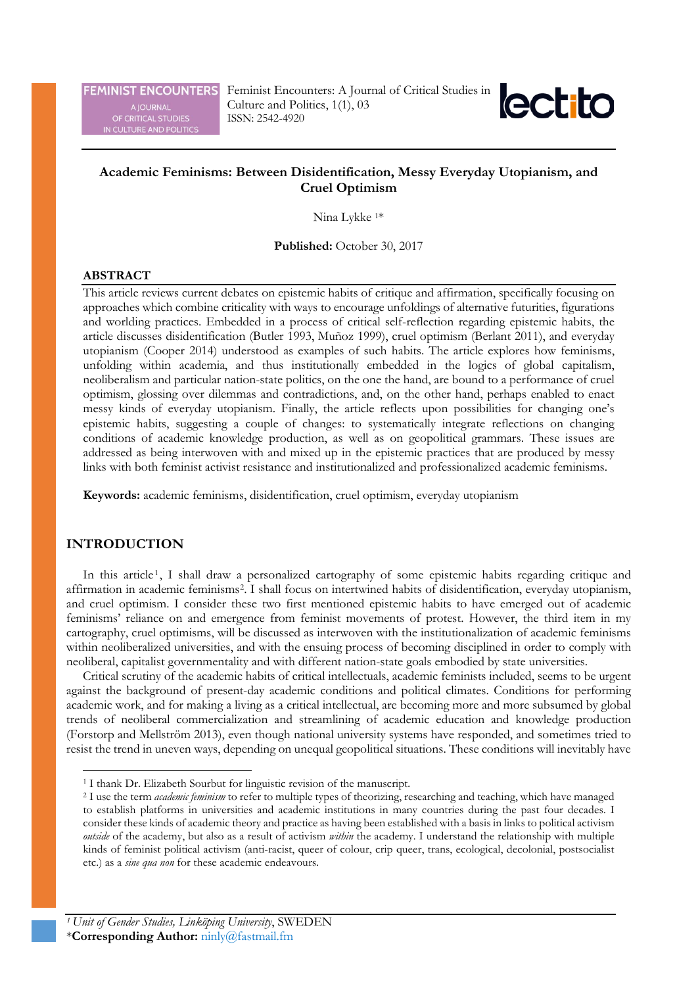**FEMINIST ENCOUNTERS** 

A JOURNAL<br>OF CRITICAL STUDIES<br>IN CULTURE AND POLITICS

Feminist Encounters: A Journal of Critical Studies in Culture and Politics, 1(1), 03 ISSN: 2542-4920



# **Academic Feminisms: Between Disidentification, Messy Everyday Utopianism, and Cruel Optimism**

Nina Lykke 1\*

**Published:** October 30, 2017

## **ABSTRACT**

This article reviews current debates on epistemic habits of critique and affirmation, specifically focusing on approaches which combine criticality with ways to encourage unfoldings of alternative futurities, figurations and worlding practices. Embedded in a process of critical self-reflection regarding epistemic habits, the article discusses disidentification (Butler 1993, Muñoz 1999), cruel optimism (Berlant 2011), and everyday utopianism (Cooper 2014) understood as examples of such habits. The article explores how feminisms, unfolding within academia, and thus institutionally embedded in the logics of global capitalism, neoliberalism and particular nation-state politics, on the one the hand, are bound to a performance of cruel optimism, glossing over dilemmas and contradictions, and, on the other hand, perhaps enabled to enact messy kinds of everyday utopianism. Finally, the article reflects upon possibilities for changing one's epistemic habits, suggesting a couple of changes: to systematically integrate reflections on changing conditions of academic knowledge production, as well as on geopolitical grammars. These issues are addressed as being interwoven with and mixed up in the epistemic practices that are produced by messy links with both feminist activist resistance and institutionalized and professionalized academic feminisms.

**Keywords:** academic feminisms, disidentification, cruel optimism, everyday utopianism

## **INTRODUCTION**

In this article<sup>[1](#page-0-0)</sup>, I shall draw a personalized cartography of some epistemic habits regarding critique and affirmation in academic feminisms[2](#page-0-1). I shall focus on intertwined habits of disidentification, everyday utopianism, and cruel optimism. I consider these two first mentioned epistemic habits to have emerged out of academic feminisms' reliance on and emergence from feminist movements of protest. However, the third item in my cartography, cruel optimisms, will be discussed as interwoven with the institutionalization of academic feminisms within neoliberalized universities, and with the ensuing process of becoming disciplined in order to comply with neoliberal, capitalist governmentality and with different nation-state goals embodied by state universities.

Critical scrutiny of the academic habits of critical intellectuals, academic feminists included, seems to be urgent against the background of present-day academic conditions and political climates. Conditions for performing academic work, and for making a living as a critical intellectual, are becoming more and more subsumed by global trends of neoliberal commercialization and streamlining of academic education and knowledge production (Forstorp and Mellström 2013), even though national university systems have responded, and sometimes tried to resist the trend in uneven ways, depending on unequal geopolitical situations. These conditions will inevitably have

<sup>&</sup>lt;sup>1</sup> I thank Dr. Elizabeth Sourbut for linguistic revision of the manuscript.

<span id="page-0-1"></span><span id="page-0-0"></span><sup>2</sup> I use the term *academic feminism* to refer to multiple types of theorizing, researching and teaching, which have managed to establish platforms in universities and academic institutions in many countries during the past four decades. I consider these kinds of academic theory and practice as having been established with a basis in links to political activism *outside* of the academy, but also as a result of activism *within* the academy. I understand the relationship with multiple kinds of feminist political activism (anti-racist, queer of colour, crip queer, trans, ecological, decolonial, postsocialist etc.) as a *sine qua non* for these academic endeavours.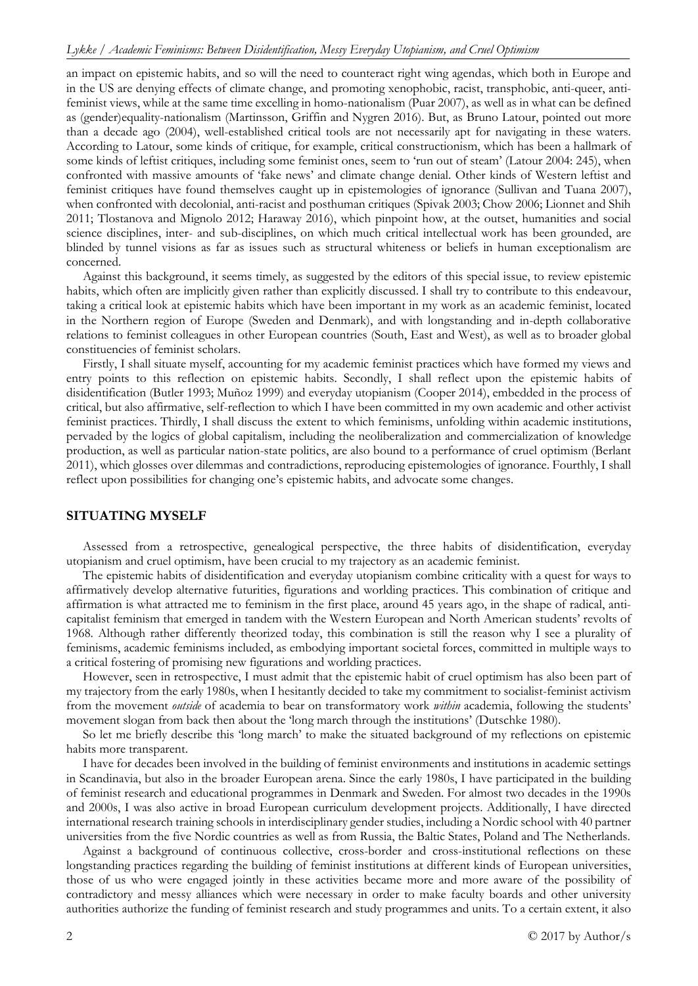an impact on epistemic habits, and so will the need to counteract right wing agendas, which both in Europe and in the US are denying effects of climate change, and promoting xenophobic, racist, transphobic, anti-queer, antifeminist views, while at the same time excelling in homo-nationalism (Puar 2007), as well as in what can be defined as (gender)equality-nationalism (Martinsson, Griffin and Nygren 2016). But, as Bruno Latour, pointed out more than a decade ago (2004), well-established critical tools are not necessarily apt for navigating in these waters. According to Latour, some kinds of critique, for example, critical constructionism, which has been a hallmark of some kinds of leftist critiques, including some feminist ones, seem to 'run out of steam' (Latour 2004: 245), when confronted with massive amounts of 'fake news' and climate change denial. Other kinds of Western leftist and feminist critiques have found themselves caught up in epistemologies of ignorance (Sullivan and Tuana 2007), when confronted with decolonial, anti-racist and posthuman critiques (Spivak 2003; Chow 2006; Lionnet and Shih 2011; Tlostanova and Mignolo 2012; Haraway 2016), which pinpoint how, at the outset, humanities and social science disciplines, inter- and sub-disciplines, on which much critical intellectual work has been grounded, are blinded by tunnel visions as far as issues such as structural whiteness or beliefs in human exceptionalism are concerned.

Against this background, it seems timely, as suggested by the editors of this special issue, to review epistemic habits, which often are implicitly given rather than explicitly discussed. I shall try to contribute to this endeavour, taking a critical look at epistemic habits which have been important in my work as an academic feminist, located in the Northern region of Europe (Sweden and Denmark), and with longstanding and in-depth collaborative relations to feminist colleagues in other European countries (South, East and West), as well as to broader global constituencies of feminist scholars.

Firstly, I shall situate myself, accounting for my academic feminist practices which have formed my views and entry points to this reflection on epistemic habits. Secondly, I shall reflect upon the epistemic habits of disidentification (Butler 1993; Muñoz 1999) and everyday utopianism (Cooper 2014), embedded in the process of critical, but also affirmative, self-reflection to which I have been committed in my own academic and other activist feminist practices. Thirdly, I shall discuss the extent to which feminisms, unfolding within academic institutions, pervaded by the logics of global capitalism, including the neoliberalization and commercialization of knowledge production, as well as particular nation-state politics, are also bound to a performance of cruel optimism (Berlant 2011), which glosses over dilemmas and contradictions, reproducing epistemologies of ignorance. Fourthly, I shall reflect upon possibilities for changing one's epistemic habits, and advocate some changes.

## **SITUATING MYSELF**

Assessed from a retrospective, genealogical perspective, the three habits of disidentification, everyday utopianism and cruel optimism, have been crucial to my trajectory as an academic feminist.

The epistemic habits of disidentification and everyday utopianism combine criticality with a quest for ways to affirmatively develop alternative futurities, figurations and worlding practices. This combination of critique and affirmation is what attracted me to feminism in the first place, around 45 years ago, in the shape of radical, anticapitalist feminism that emerged in tandem with the Western European and North American students' revolts of 1968. Although rather differently theorized today, this combination is still the reason why I see a plurality of feminisms, academic feminisms included, as embodying important societal forces, committed in multiple ways to a critical fostering of promising new figurations and worlding practices.

However, seen in retrospective, I must admit that the epistemic habit of cruel optimism has also been part of my trajectory from the early 1980s, when I hesitantly decided to take my commitment to socialist-feminist activism from the movement *outside* of academia to bear on transformatory work *within* academia, following the students' movement slogan from back then about the 'long march through the institutions' (Dutschke 1980).

So let me briefly describe this 'long march' to make the situated background of my reflections on epistemic habits more transparent.

I have for decades been involved in the building of feminist environments and institutions in academic settings in Scandinavia, but also in the broader European arena. Since the early 1980s, I have participated in the building of feminist research and educational programmes in Denmark and Sweden. For almost two decades in the 1990s and 2000s, I was also active in broad European curriculum development projects. Additionally, I have directed international research training schools in interdisciplinary gender studies, including a Nordic school with 40 partner universities from the five Nordic countries as well as from Russia, the Baltic States, Poland and The Netherlands.

Against a background of continuous collective, cross-border and cross-institutional reflections on these longstanding practices regarding the building of feminist institutions at different kinds of European universities, those of us who were engaged jointly in these activities became more and more aware of the possibility of contradictory and messy alliances which were necessary in order to make faculty boards and other university authorities authorize the funding of feminist research and study programmes and units. To a certain extent, it also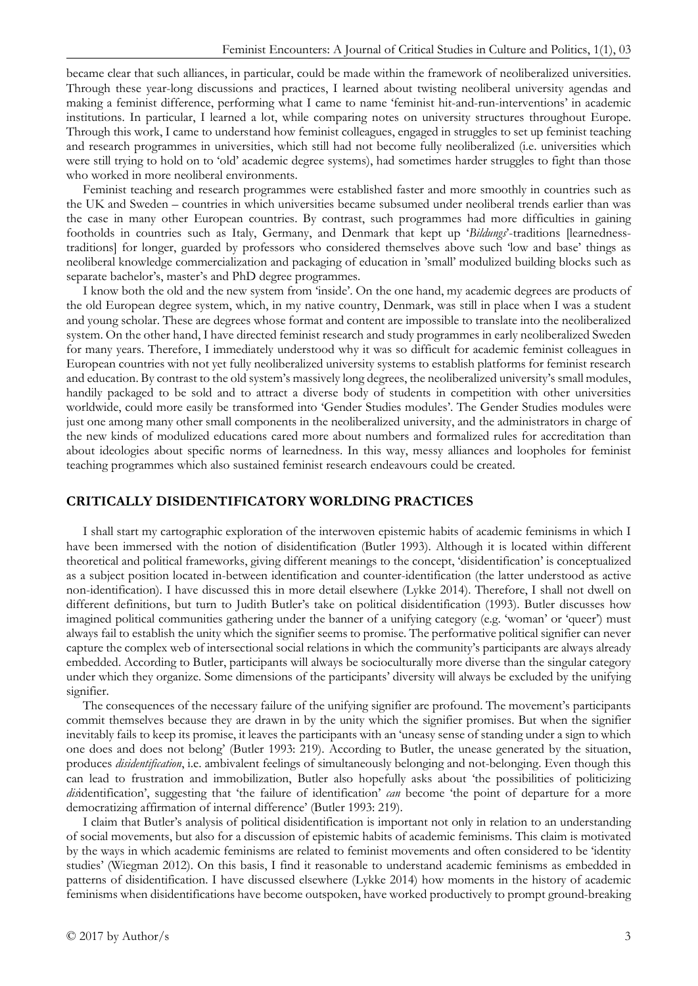became clear that such alliances, in particular, could be made within the framework of neoliberalized universities. Through these year-long discussions and practices, I learned about twisting neoliberal university agendas and making a feminist difference, performing what I came to name 'feminist hit-and-run-interventions' in academic institutions. In particular, I learned a lot, while comparing notes on university structures throughout Europe. Through this work, I came to understand how feminist colleagues, engaged in struggles to set up feminist teaching and research programmes in universities, which still had not become fully neoliberalized (i.e. universities which were still trying to hold on to 'old' academic degree systems), had sometimes harder struggles to fight than those who worked in more neoliberal environments.

Feminist teaching and research programmes were established faster and more smoothly in countries such as the UK and Sweden – countries in which universities became subsumed under neoliberal trends earlier than was the case in many other European countries. By contrast, such programmes had more difficulties in gaining footholds in countries such as Italy, Germany, and Denmark that kept up '*Bildungs*'-traditions [learnednesstraditions] for longer, guarded by professors who considered themselves above such 'low and base' things as neoliberal knowledge commercialization and packaging of education in 'small' modulized building blocks such as separate bachelor's, master's and PhD degree programmes.

I know both the old and the new system from 'inside'. On the one hand, my academic degrees are products of the old European degree system, which, in my native country, Denmark, was still in place when I was a student and young scholar. These are degrees whose format and content are impossible to translate into the neoliberalized system. On the other hand, I have directed feminist research and study programmes in early neoliberalized Sweden for many years. Therefore, I immediately understood why it was so difficult for academic feminist colleagues in European countries with not yet fully neoliberalized university systems to establish platforms for feminist research and education. By contrast to the old system's massively long degrees, the neoliberalized university's small modules, handily packaged to be sold and to attract a diverse body of students in competition with other universities worldwide, could more easily be transformed into 'Gender Studies modules'. The Gender Studies modules were just one among many other small components in the neoliberalized university, and the administrators in charge of the new kinds of modulized educations cared more about numbers and formalized rules for accreditation than about ideologies about specific norms of learnedness. In this way, messy alliances and loopholes for feminist teaching programmes which also sustained feminist research endeavours could be created.

## **CRITICALLY DISIDENTIFICATORY WORLDING PRACTICES**

I shall start my cartographic exploration of the interwoven epistemic habits of academic feminisms in which I have been immersed with the notion of disidentification (Butler 1993). Although it is located within different theoretical and political frameworks, giving different meanings to the concept, 'disidentification' is conceptualized as a subject position located in-between identification and counter-identification (the latter understood as active non-identification). I have discussed this in more detail elsewhere (Lykke 2014). Therefore, I shall not dwell on different definitions, but turn to Judith Butler's take on political disidentification (1993). Butler discusses how imagined political communities gathering under the banner of a unifying category (e.g. 'woman' or 'queer') must always fail to establish the unity which the signifier seems to promise. The performative political signifier can never capture the complex web of intersectional social relations in which the community's participants are always already embedded. According to Butler, participants will always be socioculturally more diverse than the singular category under which they organize. Some dimensions of the participants' diversity will always be excluded by the unifying signifier.

The consequences of the necessary failure of the unifying signifier are profound. The movement's participants commit themselves because they are drawn in by the unity which the signifier promises. But when the signifier inevitably fails to keep its promise, it leaves the participants with an 'uneasy sense of standing under a sign to which one does and does not belong' (Butler 1993: 219). According to Butler, the unease generated by the situation, produces *disidentification*, i.e. ambivalent feelings of simultaneously belonging and not-belonging. Even though this can lead to frustration and immobilization, Butler also hopefully asks about 'the possibilities of politicizing *dis*identification', suggesting that 'the failure of identification' *can* become 'the point of departure for a more democratizing affirmation of internal difference' (Butler 1993: 219).

I claim that Butler's analysis of political disidentification is important not only in relation to an understanding of social movements, but also for a discussion of epistemic habits of academic feminisms. This claim is motivated by the ways in which academic feminisms are related to feminist movements and often considered to be 'identity studies' (Wiegman 2012). On this basis, I find it reasonable to understand academic feminisms as embedded in patterns of disidentification. I have discussed elsewhere (Lykke 2014) how moments in the history of academic feminisms when disidentifications have become outspoken, have worked productively to prompt ground-breaking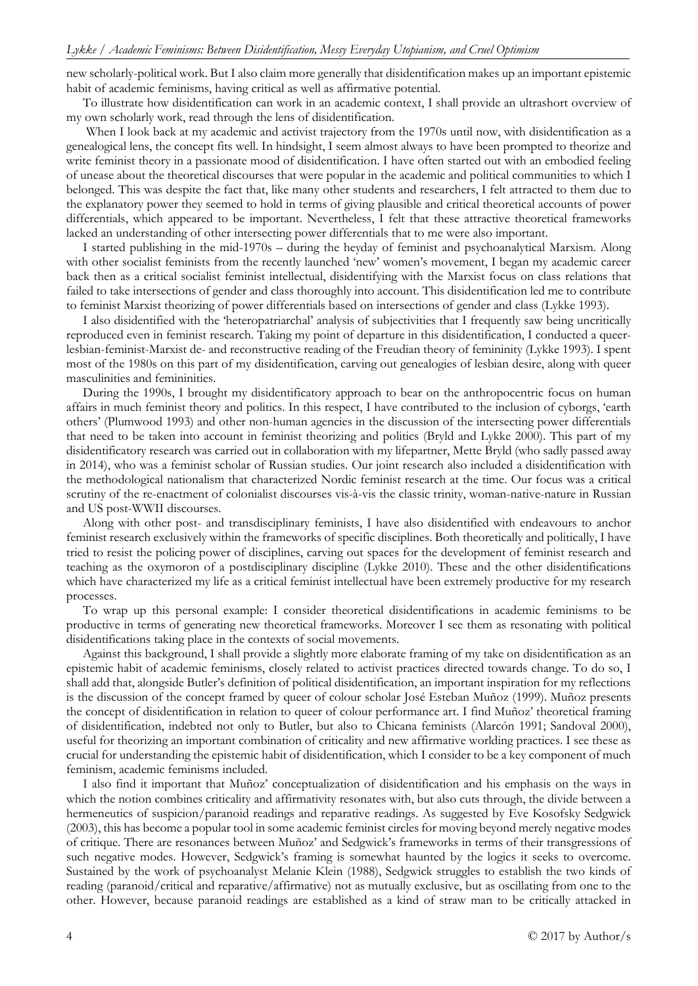new scholarly-political work. But I also claim more generally that disidentification makes up an important epistemic habit of academic feminisms, having critical as well as affirmative potential.

To illustrate how disidentification can work in an academic context, I shall provide an ultrashort overview of my own scholarly work, read through the lens of disidentification.

When I look back at my academic and activist trajectory from the 1970s until now, with disidentification as a genealogical lens, the concept fits well. In hindsight, I seem almost always to have been prompted to theorize and write feminist theory in a passionate mood of disidentification. I have often started out with an embodied feeling of unease about the theoretical discourses that were popular in the academic and political communities to which I belonged. This was despite the fact that, like many other students and researchers, I felt attracted to them due to the explanatory power they seemed to hold in terms of giving plausible and critical theoretical accounts of power differentials, which appeared to be important. Nevertheless, I felt that these attractive theoretical frameworks lacked an understanding of other intersecting power differentials that to me were also important.

I started publishing in the mid-1970s – during the heyday of feminist and psychoanalytical Marxism. Along with other socialist feminists from the recently launched 'new' women's movement, I began my academic career back then as a critical socialist feminist intellectual, disidentifying with the Marxist focus on class relations that failed to take intersections of gender and class thoroughly into account. This disidentification led me to contribute to feminist Marxist theorizing of power differentials based on intersections of gender and class (Lykke 1993).

I also disidentified with the 'heteropatriarchal' analysis of subjectivities that I frequently saw being uncritically reproduced even in feminist research. Taking my point of departure in this disidentification, I conducted a queerlesbian-feminist-Marxist de- and reconstructive reading of the Freudian theory of femininity (Lykke 1993). I spent most of the 1980s on this part of my disidentification, carving out genealogies of lesbian desire, along with queer masculinities and femininities.

During the 1990s, I brought my disidentificatory approach to bear on the anthropocentric focus on human affairs in much feminist theory and politics. In this respect, I have contributed to the inclusion of cyborgs, 'earth others' (Plumwood 1993) and other non-human agencies in the discussion of the intersecting power differentials that need to be taken into account in feminist theorizing and politics (Bryld and Lykke 2000). This part of my disidentificatory research was carried out in collaboration with my lifepartner, Mette Bryld (who sadly passed away in 2014), who was a feminist scholar of Russian studies. Our joint research also included a disidentification with the methodological nationalism that characterized Nordic feminist research at the time. Our focus was a critical scrutiny of the re-enactment of colonialist discourses vis-à-vis the classic trinity, woman-native-nature in Russian and US post-WWII discourses.

Along with other post- and transdisciplinary feminists, I have also disidentified with endeavours to anchor feminist research exclusively within the frameworks of specific disciplines. Both theoretically and politically, I have tried to resist the policing power of disciplines, carving out spaces for the development of feminist research and teaching as the oxymoron of a postdisciplinary discipline (Lykke 2010). These and the other disidentifications which have characterized my life as a critical feminist intellectual have been extremely productive for my research processes.

To wrap up this personal example: I consider theoretical disidentifications in academic feminisms to be productive in terms of generating new theoretical frameworks. Moreover I see them as resonating with political disidentifications taking place in the contexts of social movements.

Against this background, I shall provide a slightly more elaborate framing of my take on disidentification as an epistemic habit of academic feminisms, closely related to activist practices directed towards change. To do so, I shall add that, alongside Butler's definition of political disidentification, an important inspiration for my reflections is the discussion of the concept framed by queer of colour scholar José Esteban Muñoz (1999). Muñoz presents the concept of disidentification in relation to queer of colour performance art. I find Muñoz' theoretical framing of disidentification, indebted not only to Butler, but also to Chicana feminists (Alarcón 1991; Sandoval 2000), useful for theorizing an important combination of criticality and new affirmative worlding practices. I see these as crucial for understanding the epistemic habit of disidentification, which I consider to be a key component of much feminism, academic feminisms included.

I also find it important that Muñoz' conceptualization of disidentification and his emphasis on the ways in which the notion combines criticality and affirmativity resonates with, but also cuts through, the divide between a hermeneutics of suspicion/paranoid readings and reparative readings. As suggested by Eve Kosofsky Sedgwick (2003), this has become a popular tool in some academic feminist circles for moving beyond merely negative modes of critique. There are resonances between Muñoz' and Sedgwick's frameworks in terms of their transgressions of such negative modes. However, Sedgwick's framing is somewhat haunted by the logics it seeks to overcome. Sustained by the work of psychoanalyst Melanie Klein (1988), Sedgwick struggles to establish the two kinds of reading (paranoid/critical and reparative/affirmative) not as mutually exclusive, but as oscillating from one to the other. However, because paranoid readings are established as a kind of straw man to be critically attacked in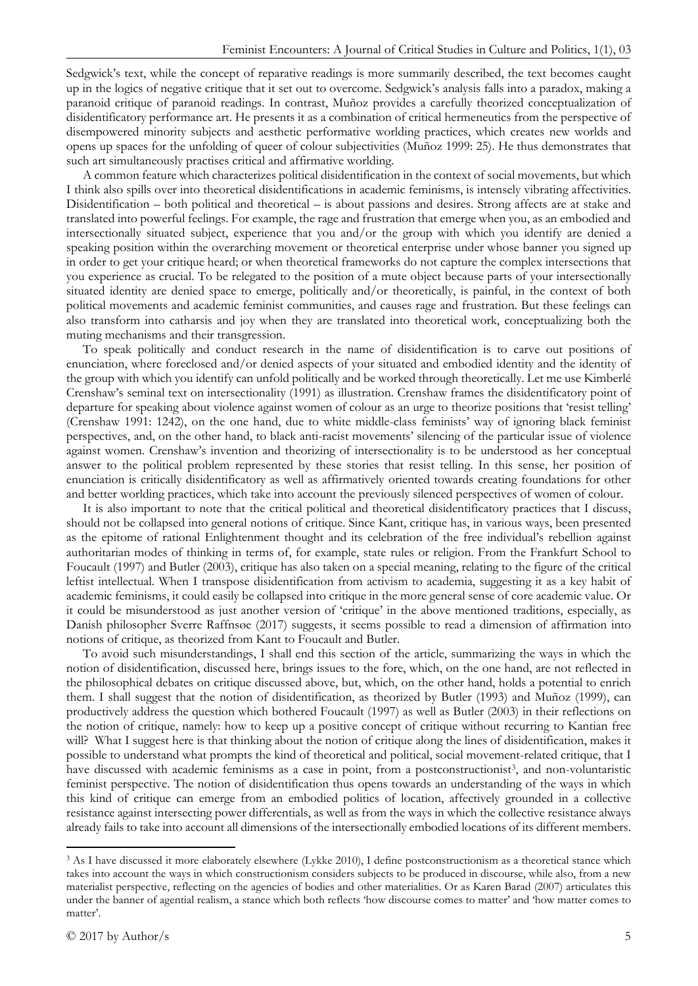Sedgwick's text, while the concept of reparative readings is more summarily described, the text becomes caught up in the logics of negative critique that it set out to overcome. Sedgwick's analysis falls into a paradox, making a paranoid critique of paranoid readings. In contrast, Muñoz provides a carefully theorized conceptualization of disidentificatory performance art. He presents it as a combination of critical hermeneutics from the perspective of disempowered minority subjects and aesthetic performative worlding practices, which creates new worlds and opens up spaces for the unfolding of queer of colour subjectivities (Muñoz 1999: 25). He thus demonstrates that such art simultaneously practises critical and affirmative worlding.

A common feature which characterizes political disidentification in the context of social movements, but which I think also spills over into theoretical disidentifications in academic feminisms, is intensely vibrating affectivities. Disidentification – both political and theoretical – is about passions and desires. Strong affects are at stake and translated into powerful feelings. For example, the rage and frustration that emerge when you, as an embodied and intersectionally situated subject, experience that you and/or the group with which you identify are denied a speaking position within the overarching movement or theoretical enterprise under whose banner you signed up in order to get your critique heard; or when theoretical frameworks do not capture the complex intersections that you experience as crucial. To be relegated to the position of a mute object because parts of your intersectionally situated identity are denied space to emerge, politically and/or theoretically, is painful, in the context of both political movements and academic feminist communities, and causes rage and frustration. But these feelings can also transform into catharsis and joy when they are translated into theoretical work, conceptualizing both the muting mechanisms and their transgression.

To speak politically and conduct research in the name of disidentification is to carve out positions of enunciation, where foreclosed and/or denied aspects of your situated and embodied identity and the identity of the group with which you identify can unfold politically and be worked through theoretically. Let me use Kimberlé Crenshaw's seminal text on intersectionality (1991) as illustration. Crenshaw frames the disidentificatory point of departure for speaking about violence against women of colour as an urge to theorize positions that 'resist telling' (Crenshaw 1991: 1242), on the one hand, due to white middle-class feminists' way of ignoring black feminist perspectives, and, on the other hand, to black anti-racist movements' silencing of the particular issue of violence against women. Crenshaw's invention and theorizing of intersectionality is to be understood as her conceptual answer to the political problem represented by these stories that resist telling. In this sense, her position of enunciation is critically disidentificatory as well as affirmatively oriented towards creating foundations for other and better worlding practices, which take into account the previously silenced perspectives of women of colour.

It is also important to note that the critical political and theoretical disidentificatory practices that I discuss, should not be collapsed into general notions of critique. Since Kant, critique has, in various ways, been presented as the epitome of rational Enlightenment thought and its celebration of the free individual's rebellion against authoritarian modes of thinking in terms of, for example, state rules or religion. From the Frankfurt School to Foucault (1997) and Butler (2003), critique has also taken on a special meaning, relating to the figure of the critical leftist intellectual. When I transpose disidentification from activism to academia, suggesting it as a key habit of academic feminisms, it could easily be collapsed into critique in the more general sense of core academic value. Or it could be misunderstood as just another version of 'critique' in the above mentioned traditions, especially, as Danish philosopher Sverre Raffnsøe (2017) suggests, it seems possible to read a dimension of affirmation into notions of critique, as theorized from Kant to Foucault and Butler.

To avoid such misunderstandings, I shall end this section of the article, summarizing the ways in which the notion of disidentification, discussed here, brings issues to the fore, which, on the one hand, are not reflected in the philosophical debates on critique discussed above, but, which, on the other hand, holds a potential to enrich them. I shall suggest that the notion of disidentification, as theorized by Butler (1993) and Muñoz (1999), can productively address the question which bothered Foucault (1997) as well as Butler (2003) in their reflections on the notion of critique, namely: how to keep up a positive concept of critique without recurring to Kantian free will? What I suggest here is that thinking about the notion of critique along the lines of disidentification, makes it possible to understand what prompts the kind of theoretical and political, social movement-related critique, that I have discussed with academic feminisms as a case in point, from a postconstructionist<sup>[3](#page-4-0)</sup>, and non-voluntaristic feminist perspective. The notion of disidentification thus opens towards an understanding of the ways in which this kind of critique can emerge from an embodied politics of location, affectively grounded in a collective resistance against intersecting power differentials, as well as from the ways in which the collective resistance always already fails to take into account all dimensions of the intersectionally embodied locations of its different members.

<span id="page-4-0"></span><sup>&</sup>lt;sup>3</sup> As I have discussed it more elaborately elsewhere (Lykke 2010), I define postconstructionism as a theoretical stance which takes into account the ways in which constructionism considers subjects to be produced in discourse, while also, from a new materialist perspective, reflecting on the agencies of bodies and other materialities. Or as Karen Barad (2007) articulates this under the banner of agential realism, a stance which both reflects 'how discourse comes to matter' and 'how matter comes to matter'.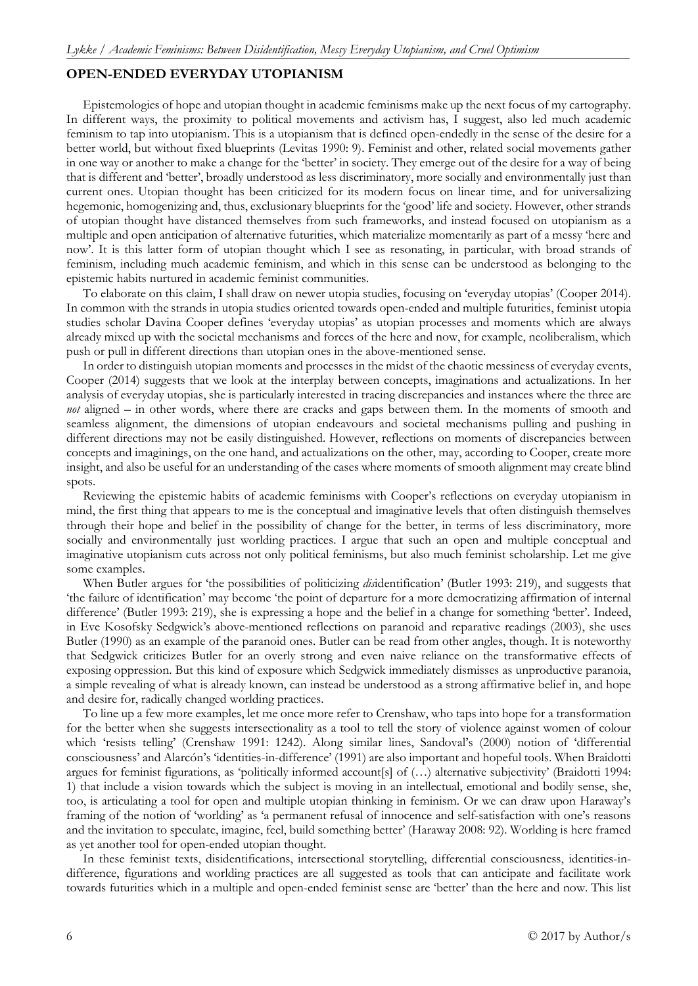## **OPEN-ENDED EVERYDAY UTOPIANISM**

Epistemologies of hope and utopian thought in academic feminisms make up the next focus of my cartography. In different ways, the proximity to political movements and activism has, I suggest, also led much academic feminism to tap into utopianism. This is a utopianism that is defined open-endedly in the sense of the desire for a better world, but without fixed blueprints (Levitas 1990: 9). Feminist and other, related social movements gather in one way or another to make a change for the 'better' in society. They emerge out of the desire for a way of being that is different and 'better', broadly understood as less discriminatory, more socially and environmentally just than current ones. Utopian thought has been criticized for its modern focus on linear time, and for universalizing hegemonic, homogenizing and, thus, exclusionary blueprints for the 'good' life and society. However, other strands of utopian thought have distanced themselves from such frameworks, and instead focused on utopianism as a multiple and open anticipation of alternative futurities, which materialize momentarily as part of a messy 'here and now'. It is this latter form of utopian thought which I see as resonating, in particular, with broad strands of feminism, including much academic feminism, and which in this sense can be understood as belonging to the epistemic habits nurtured in academic feminist communities.

To elaborate on this claim, I shall draw on newer utopia studies, focusing on 'everyday utopias' (Cooper 2014). In common with the strands in utopia studies oriented towards open-ended and multiple futurities, feminist utopia studies scholar Davina Cooper defines 'everyday utopias' as utopian processes and moments which are always already mixed up with the societal mechanisms and forces of the here and now, for example, neoliberalism, which push or pull in different directions than utopian ones in the above-mentioned sense.

In order to distinguish utopian moments and processes in the midst of the chaotic messiness of everyday events, Cooper (2014) suggests that we look at the interplay between concepts, imaginations and actualizations. In her analysis of everyday utopias, she is particularly interested in tracing discrepancies and instances where the three are *not* aligned – in other words, where there are cracks and gaps between them. In the moments of smooth and seamless alignment, the dimensions of utopian endeavours and societal mechanisms pulling and pushing in different directions may not be easily distinguished. However, reflections on moments of discrepancies between concepts and imaginings, on the one hand, and actualizations on the other, may, according to Cooper, create more insight, and also be useful for an understanding of the cases where moments of smooth alignment may create blind spots.

Reviewing the epistemic habits of academic feminisms with Cooper's reflections on everyday utopianism in mind, the first thing that appears to me is the conceptual and imaginative levels that often distinguish themselves through their hope and belief in the possibility of change for the better, in terms of less discriminatory, more socially and environmentally just worlding practices. I argue that such an open and multiple conceptual and imaginative utopianism cuts across not only political feminisms, but also much feminist scholarship. Let me give some examples.

When Butler argues for 'the possibilities of politicizing *dis*identification' (Butler 1993: 219), and suggests that 'the failure of identification' may become 'the point of departure for a more democratizing affirmation of internal difference' (Butler 1993: 219), she is expressing a hope and the belief in a change for something 'better'. Indeed, in Eve Kosofsky Sedgwick's above-mentioned reflections on paranoid and reparative readings (2003), she uses Butler (1990) as an example of the paranoid ones. Butler can be read from other angles, though. It is noteworthy that Sedgwick criticizes Butler for an overly strong and even naive reliance on the transformative effects of exposing oppression. But this kind of exposure which Sedgwick immediately dismisses as unproductive paranoia, a simple revealing of what is already known, can instead be understood as a strong affirmative belief in, and hope and desire for, radically changed worlding practices.

To line up a few more examples, let me once more refer to Crenshaw, who taps into hope for a transformation for the better when she suggests intersectionality as a tool to tell the story of violence against women of colour which 'resists telling' (Crenshaw 1991: 1242). Along similar lines, Sandoval's (2000) notion of 'differential consciousness' and Alarcón's 'identities-in-difference' (1991) are also important and hopeful tools. When Braidotti argues for feminist figurations, as 'politically informed account[s] of (…) alternative subjectivity' (Braidotti 1994: 1) that include a vision towards which the subject is moving in an intellectual, emotional and bodily sense, she, too, is articulating a tool for open and multiple utopian thinking in feminism. Or we can draw upon Haraway's framing of the notion of 'worlding' as 'a permanent refusal of innocence and self-satisfaction with one's reasons and the invitation to speculate, imagine, feel, build something better' (Haraway 2008: 92). Worlding is here framed as yet another tool for open-ended utopian thought.

In these feminist texts, disidentifications, intersectional storytelling, differential consciousness, identities-indifference, figurations and worlding practices are all suggested as tools that can anticipate and facilitate work towards futurities which in a multiple and open-ended feminist sense are 'better' than the here and now. This list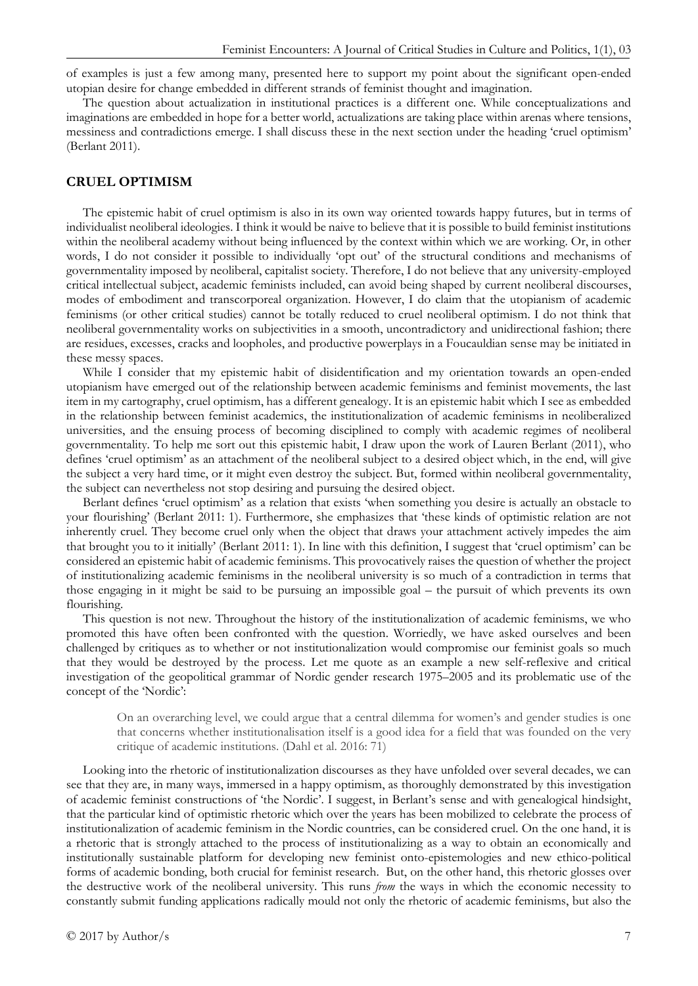of examples is just a few among many, presented here to support my point about the significant open-ended utopian desire for change embedded in different strands of feminist thought and imagination.

The question about actualization in institutional practices is a different one. While conceptualizations and imaginations are embedded in hope for a better world, actualizations are taking place within arenas where tensions, messiness and contradictions emerge. I shall discuss these in the next section under the heading 'cruel optimism' (Berlant 2011).

#### **CRUEL OPTIMISM**

The epistemic habit of cruel optimism is also in its own way oriented towards happy futures, but in terms of individualist neoliberal ideologies. I think it would be naive to believe that it is possible to build feminist institutions within the neoliberal academy without being influenced by the context within which we are working. Or, in other words, I do not consider it possible to individually 'opt out' of the structural conditions and mechanisms of governmentality imposed by neoliberal, capitalist society. Therefore, I do not believe that any university-employed critical intellectual subject, academic feminists included, can avoid being shaped by current neoliberal discourses, modes of embodiment and transcorporeal organization. However, I do claim that the utopianism of academic feminisms (or other critical studies) cannot be totally reduced to cruel neoliberal optimism. I do not think that neoliberal governmentality works on subjectivities in a smooth, uncontradictory and unidirectional fashion; there are residues, excesses, cracks and loopholes, and productive powerplays in a Foucauldian sense may be initiated in these messy spaces.

While I consider that my epistemic habit of disidentification and my orientation towards an open-ended utopianism have emerged out of the relationship between academic feminisms and feminist movements, the last item in my cartography, cruel optimism, has a different genealogy. It is an epistemic habit which I see as embedded in the relationship between feminist academics, the institutionalization of academic feminisms in neoliberalized universities, and the ensuing process of becoming disciplined to comply with academic regimes of neoliberal governmentality. To help me sort out this epistemic habit, I draw upon the work of Lauren Berlant (2011), who defines 'cruel optimism' as an attachment of the neoliberal subject to a desired object which, in the end, will give the subject a very hard time, or it might even destroy the subject. But, formed within neoliberal governmentality, the subject can nevertheless not stop desiring and pursuing the desired object.

Berlant defines 'cruel optimism' as a relation that exists 'when something you desire is actually an obstacle to your flourishing' (Berlant 2011: 1). Furthermore, she emphasizes that 'these kinds of optimistic relation are not inherently cruel. They become cruel only when the object that draws your attachment actively impedes the aim that brought you to it initially' (Berlant 2011: 1). In line with this definition, I suggest that 'cruel optimism' can be considered an epistemic habit of academic feminisms. This provocatively raises the question of whether the project of institutionalizing academic feminisms in the neoliberal university is so much of a contradiction in terms that those engaging in it might be said to be pursuing an impossible goal – the pursuit of which prevents its own flourishing.

This question is not new. Throughout the history of the institutionalization of academic feminisms, we who promoted this have often been confronted with the question. Worriedly, we have asked ourselves and been challenged by critiques as to whether or not institutionalization would compromise our feminist goals so much that they would be destroyed by the process. Let me quote as an example a new self-reflexive and critical investigation of the geopolitical grammar of Nordic gender research 1975–2005 and its problematic use of the concept of the 'Nordic':

On an overarching level, we could argue that a central dilemma for women's and gender studies is one that concerns whether institutionalisation itself is a good idea for a field that was founded on the very critique of academic institutions. (Dahl et al. 2016: 71)

Looking into the rhetoric of institutionalization discourses as they have unfolded over several decades, we can see that they are, in many ways, immersed in a happy optimism, as thoroughly demonstrated by this investigation of academic feminist constructions of 'the Nordic'. I suggest, in Berlant's sense and with genealogical hindsight, that the particular kind of optimistic rhetoric which over the years has been mobilized to celebrate the process of institutionalization of academic feminism in the Nordic countries, can be considered cruel. On the one hand, it is a rhetoric that is strongly attached to the process of institutionalizing as a way to obtain an economically and institutionally sustainable platform for developing new feminist onto-epistemologies and new ethico-political forms of academic bonding, both crucial for feminist research. But, on the other hand, this rhetoric glosses over the destructive work of the neoliberal university. This runs *from* the ways in which the economic necessity to constantly submit funding applications radically mould not only the rhetoric of academic feminisms, but also the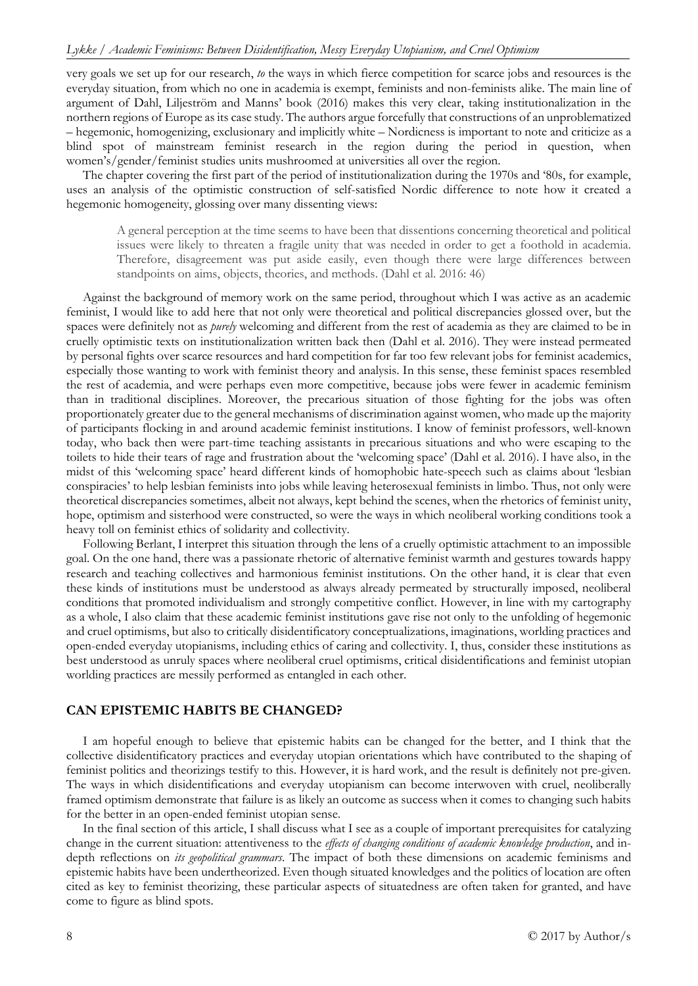very goals we set up for our research, *to* the ways in which fierce competition for scarce jobs and resources is the everyday situation, from which no one in academia is exempt, feminists and non-feminists alike. The main line of argument of Dahl, Liljeström and Manns' book (2016) makes this very clear, taking institutionalization in the northern regions of Europe as its case study. The authors argue forcefully that constructions of an unproblematized – hegemonic, homogenizing, exclusionary and implicitly white – Nordicness is important to note and criticize as a blind spot of mainstream feminist research in the region during the period in question, when women's/gender/feminist studies units mushroomed at universities all over the region.

The chapter covering the first part of the period of institutionalization during the 1970s and '80s, for example, uses an analysis of the optimistic construction of self-satisfied Nordic difference to note how it created a hegemonic homogeneity, glossing over many dissenting views:

A general perception at the time seems to have been that dissentions concerning theoretical and political issues were likely to threaten a fragile unity that was needed in order to get a foothold in academia. Therefore, disagreement was put aside easily, even though there were large differences between standpoints on aims, objects, theories, and methods. (Dahl et al. 2016: 46)

Against the background of memory work on the same period, throughout which I was active as an academic feminist, I would like to add here that not only were theoretical and political discrepancies glossed over, but the spaces were definitely not as *purely* welcoming and different from the rest of academia as they are claimed to be in cruelly optimistic texts on institutionalization written back then (Dahl et al. 2016). They were instead permeated by personal fights over scarce resources and hard competition for far too few relevant jobs for feminist academics, especially those wanting to work with feminist theory and analysis. In this sense, these feminist spaces resembled the rest of academia, and were perhaps even more competitive, because jobs were fewer in academic feminism than in traditional disciplines. Moreover, the precarious situation of those fighting for the jobs was often proportionately greater due to the general mechanisms of discrimination against women, who made up the majority of participants flocking in and around academic feminist institutions. I know of feminist professors, well-known today, who back then were part-time teaching assistants in precarious situations and who were escaping to the toilets to hide their tears of rage and frustration about the 'welcoming space' (Dahl et al. 2016). I have also, in the midst of this 'welcoming space' heard different kinds of homophobic hate-speech such as claims about 'lesbian conspiracies' to help lesbian feminists into jobs while leaving heterosexual feminists in limbo. Thus, not only were theoretical discrepancies sometimes, albeit not always, kept behind the scenes, when the rhetorics of feminist unity, hope, optimism and sisterhood were constructed, so were the ways in which neoliberal working conditions took a heavy toll on feminist ethics of solidarity and collectivity.

Following Berlant, I interpret this situation through the lens of a cruelly optimistic attachment to an impossible goal. On the one hand, there was a passionate rhetoric of alternative feminist warmth and gestures towards happy research and teaching collectives and harmonious feminist institutions. On the other hand, it is clear that even these kinds of institutions must be understood as always already permeated by structurally imposed, neoliberal conditions that promoted individualism and strongly competitive conflict. However, in line with my cartography as a whole, I also claim that these academic feminist institutions gave rise not only to the unfolding of hegemonic and cruel optimisms, but also to critically disidentificatory conceptualizations, imaginations, worlding practices and open-ended everyday utopianisms, including ethics of caring and collectivity. I, thus, consider these institutions as best understood as unruly spaces where neoliberal cruel optimisms, critical disidentifications and feminist utopian worlding practices are messily performed as entangled in each other.

## **CAN EPISTEMIC HABITS BE CHANGED?**

I am hopeful enough to believe that epistemic habits can be changed for the better, and I think that the collective disidentificatory practices and everyday utopian orientations which have contributed to the shaping of feminist politics and theorizings testify to this. However, it is hard work, and the result is definitely not pre-given. The ways in which disidentifications and everyday utopianism can become interwoven with cruel, neoliberally framed optimism demonstrate that failure is as likely an outcome as success when it comes to changing such habits for the better in an open-ended feminist utopian sense.

In the final section of this article, I shall discuss what I see as a couple of important prerequisites for catalyzing change in the current situation: attentiveness to the *effects of changing conditions of academic knowledge production*, and indepth reflections on *its geopolitical grammars*. The impact of both these dimensions on academic feminisms and epistemic habits have been undertheorized. Even though situated knowledges and the politics of location are often cited as key to feminist theorizing, these particular aspects of situatedness are often taken for granted, and have come to figure as blind spots.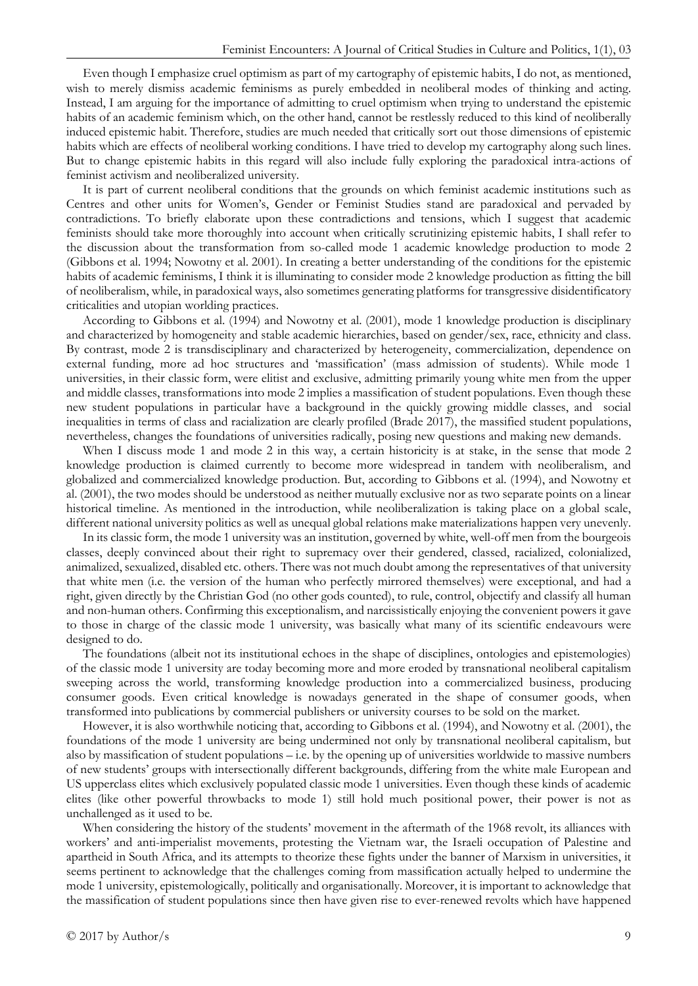Even though I emphasize cruel optimism as part of my cartography of epistemic habits, I do not, as mentioned, wish to merely dismiss academic feminisms as purely embedded in neoliberal modes of thinking and acting. Instead, I am arguing for the importance of admitting to cruel optimism when trying to understand the epistemic habits of an academic feminism which, on the other hand, cannot be restlessly reduced to this kind of neoliberally induced epistemic habit. Therefore, studies are much needed that critically sort out those dimensions of epistemic habits which are effects of neoliberal working conditions. I have tried to develop my cartography along such lines. But to change epistemic habits in this regard will also include fully exploring the paradoxical intra-actions of feminist activism and neoliberalized university.

It is part of current neoliberal conditions that the grounds on which feminist academic institutions such as Centres and other units for Women's, Gender or Feminist Studies stand are paradoxical and pervaded by contradictions. To briefly elaborate upon these contradictions and tensions, which I suggest that academic feminists should take more thoroughly into account when critically scrutinizing epistemic habits, I shall refer to the discussion about the transformation from so-called mode 1 academic knowledge production to mode 2 (Gibbons et al. 1994; Nowotny et al. 2001). In creating a better understanding of the conditions for the epistemic habits of academic feminisms, I think it is illuminating to consider mode 2 knowledge production as fitting the bill of neoliberalism, while, in paradoxical ways, also sometimes generating platforms for transgressive disidentificatory criticalities and utopian worlding practices.

According to Gibbons et al. (1994) and Nowotny et al. (2001), mode 1 knowledge production is disciplinary and characterized by homogeneity and stable academic hierarchies, based on gender/sex, race, ethnicity and class. By contrast, mode 2 is transdisciplinary and characterized by heterogeneity, commercialization, dependence on external funding, more ad hoc structures and 'massification' (mass admission of students). While mode 1 universities, in their classic form, were elitist and exclusive, admitting primarily young white men from the upper and middle classes, transformations into mode 2 implies a massification of student populations. Even though these new student populations in particular have a background in the quickly growing middle classes, and social inequalities in terms of class and racialization are clearly profiled (Brade 2017), the massified student populations, nevertheless, changes the foundations of universities radically, posing new questions and making new demands.

When I discuss mode 1 and mode 2 in this way, a certain historicity is at stake, in the sense that mode 2 knowledge production is claimed currently to become more widespread in tandem with neoliberalism, and globalized and commercialized knowledge production. But, according to Gibbons et al. (1994), and Nowotny et al. (2001), the two modes should be understood as neither mutually exclusive nor as two separate points on a linear historical timeline. As mentioned in the introduction, while neoliberalization is taking place on a global scale, different national university politics as well as unequal global relations make materializations happen very unevenly.

In its classic form, the mode 1 university was an institution, governed by white, well-off men from the bourgeois classes, deeply convinced about their right to supremacy over their gendered, classed, racialized, colonialized, animalized, sexualized, disabled etc. others. There was not much doubt among the representatives of that university that white men (i.e. the version of the human who perfectly mirrored themselves) were exceptional, and had a right, given directly by the Christian God (no other gods counted), to rule, control, objectify and classify all human and non-human others. Confirming this exceptionalism, and narcissistically enjoying the convenient powers it gave to those in charge of the classic mode 1 university, was basically what many of its scientific endeavours were designed to do.

The foundations (albeit not its institutional echoes in the shape of disciplines, ontologies and epistemologies) of the classic mode 1 university are today becoming more and more eroded by transnational neoliberal capitalism sweeping across the world, transforming knowledge production into a commercialized business, producing consumer goods. Even critical knowledge is nowadays generated in the shape of consumer goods, when transformed into publications by commercial publishers or university courses to be sold on the market.

However, it is also worthwhile noticing that, according to Gibbons et al. (1994), and Nowotny et al. (2001), the foundations of the mode 1 university are being undermined not only by transnational neoliberal capitalism, but also by massification of student populations – i.e. by the opening up of universities worldwide to massive numbers of new students' groups with intersectionally different backgrounds, differing from the white male European and US upperclass elites which exclusively populated classic mode 1 universities. Even though these kinds of academic elites (like other powerful throwbacks to mode 1) still hold much positional power, their power is not as unchallenged as it used to be.

When considering the history of the students' movement in the aftermath of the 1968 revolt, its alliances with workers' and anti-imperialist movements, protesting the Vietnam war, the Israeli occupation of Palestine and apartheid in South Africa, and its attempts to theorize these fights under the banner of Marxism in universities, it seems pertinent to acknowledge that the challenges coming from massification actually helped to undermine the mode 1 university, epistemologically, politically and organisationally. Moreover, it is important to acknowledge that the massification of student populations since then have given rise to ever-renewed revolts which have happened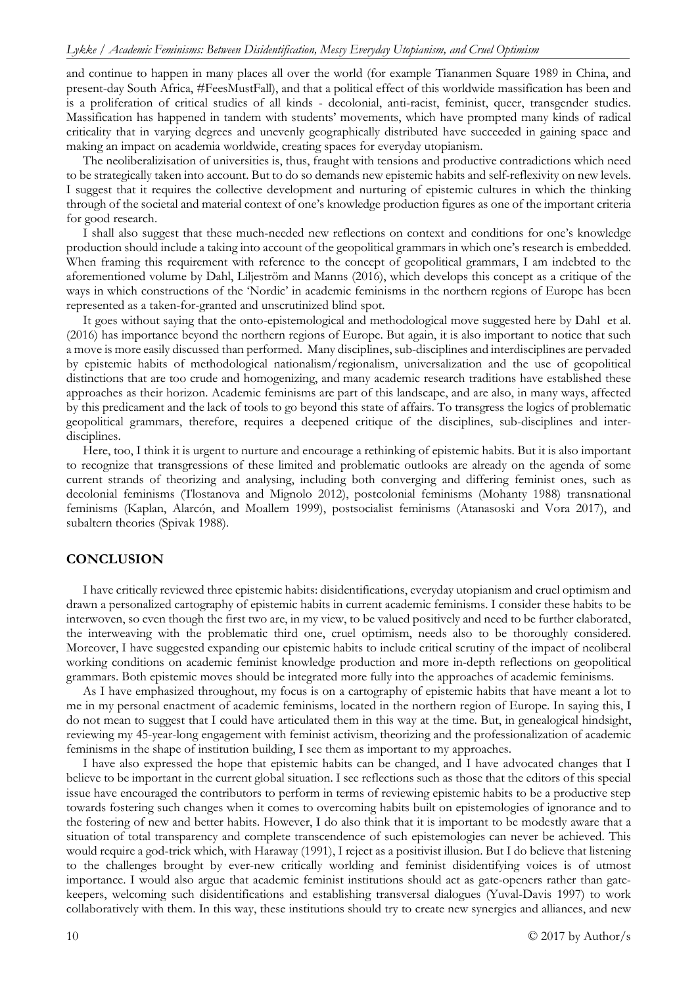and continue to happen in many places all over the world (for example Tiananmen Square 1989 in China, and present-day South Africa, #FeesMustFall), and that a political effect of this worldwide massification has been and is a proliferation of critical studies of all kinds - decolonial, anti-racist, feminist, queer, transgender studies. Massification has happened in tandem with students' movements, which have prompted many kinds of radical criticality that in varying degrees and unevenly geographically distributed have succeeded in gaining space and making an impact on academia worldwide, creating spaces for everyday utopianism.

The neoliberalizisation of universities is, thus, fraught with tensions and productive contradictions which need to be strategically taken into account. But to do so demands new epistemic habits and self-reflexivity on new levels. I suggest that it requires the collective development and nurturing of epistemic cultures in which the thinking through of the societal and material context of one's knowledge production figures as one of the important criteria for good research.

I shall also suggest that these much-needed new reflections on context and conditions for one's knowledge production should include a taking into account of the geopolitical grammars in which one's research is embedded. When framing this requirement with reference to the concept of geopolitical grammars, I am indebted to the aforementioned volume by Dahl, Liljeström and Manns (2016), which develops this concept as a critique of the ways in which constructions of the 'Nordic' in academic feminisms in the northern regions of Europe has been represented as a taken-for-granted and unscrutinized blind spot.

It goes without saying that the onto-epistemological and methodological move suggested here by Dahl et al. (2016) has importance beyond the northern regions of Europe. But again, it is also important to notice that such a move is more easily discussed than performed. Many disciplines, sub-disciplines and interdisciplines are pervaded by epistemic habits of methodological nationalism/regionalism, universalization and the use of geopolitical distinctions that are too crude and homogenizing, and many academic research traditions have established these approaches as their horizon. Academic feminisms are part of this landscape, and are also, in many ways, affected by this predicament and the lack of tools to go beyond this state of affairs. To transgress the logics of problematic geopolitical grammars, therefore, requires a deepened critique of the disciplines, sub-disciplines and interdisciplines.

Here, too, I think it is urgent to nurture and encourage a rethinking of epistemic habits. But it is also important to recognize that transgressions of these limited and problematic outlooks are already on the agenda of some current strands of theorizing and analysing, including both converging and differing feminist ones, such as decolonial feminisms (Tlostanova and Mignolo 2012), postcolonial feminisms (Mohanty 1988) transnational feminisms (Kaplan, Alarcón, and Moallem 1999), postsocialist feminisms (Atanasoski and Vora 2017), and subaltern theories (Spivak 1988).

#### **CONCLUSION**

I have critically reviewed three epistemic habits: disidentifications, everyday utopianism and cruel optimism and drawn a personalized cartography of epistemic habits in current academic feminisms. I consider these habits to be interwoven, so even though the first two are, in my view, to be valued positively and need to be further elaborated, the interweaving with the problematic third one, cruel optimism, needs also to be thoroughly considered. Moreover, I have suggested expanding our epistemic habits to include critical scrutiny of the impact of neoliberal working conditions on academic feminist knowledge production and more in-depth reflections on geopolitical grammars. Both epistemic moves should be integrated more fully into the approaches of academic feminisms.

As I have emphasized throughout, my focus is on a cartography of epistemic habits that have meant a lot to me in my personal enactment of academic feminisms, located in the northern region of Europe. In saying this, I do not mean to suggest that I could have articulated them in this way at the time. But, in genealogical hindsight, reviewing my 45-year-long engagement with feminist activism, theorizing and the professionalization of academic feminisms in the shape of institution building, I see them as important to my approaches.

I have also expressed the hope that epistemic habits can be changed, and I have advocated changes that I believe to be important in the current global situation. I see reflections such as those that the editors of this special issue have encouraged the contributors to perform in terms of reviewing epistemic habits to be a productive step towards fostering such changes when it comes to overcoming habits built on epistemologies of ignorance and to the fostering of new and better habits. However, I do also think that it is important to be modestly aware that a situation of total transparency and complete transcendence of such epistemologies can never be achieved. This would require a god-trick which, with Haraway (1991), I reject as a positivist illusion. But I do believe that listening to the challenges brought by ever-new critically worlding and feminist disidentifying voices is of utmost importance. I would also argue that academic feminist institutions should act as gate-openers rather than gatekeepers, welcoming such disidentifications and establishing transversal dialogues (Yuval-Davis 1997) to work collaboratively with them. In this way, these institutions should try to create new synergies and alliances, and new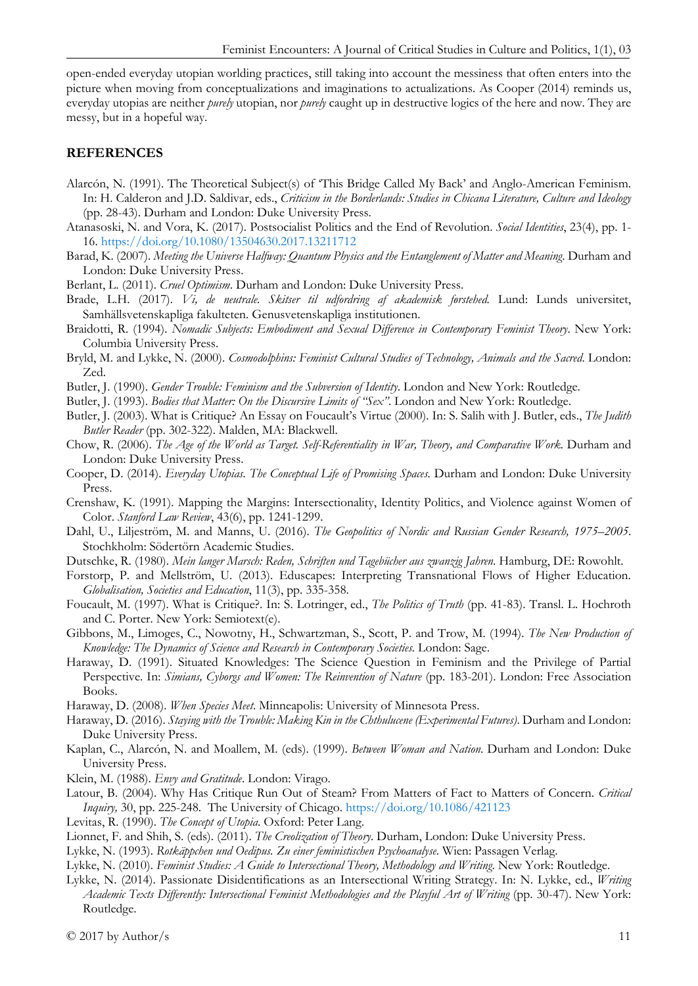open-ended everyday utopian worlding practices, still taking into account the messiness that often enters into the picture when moving from conceptualizations and imaginations to actualizations. As Cooper (2014) reminds us, everyday utopias are neither *purely* utopian, nor *purely* caught up in destructive logics of the here and now. They are messy, but in a hopeful way.

## **REFERENCES**

- Alarcón, N. (1991). The Theoretical Subject(s) of 'This Bridge Called My Back' and Anglo-American Feminism. In: H. Calderon and J.D. Saldivar, eds., *Criticism in the Borderlands: Studies in Chicana Literature, Culture and Ideology* (pp. 28-43). Durham and London: Duke University Press.
- Atanasoski, N. and Vora, K. (2017). Postsocialist Politics and the End of Revolution. *Social Identities*, 23(4), pp. 1- 16.<https://doi.org/10.1080/13504630.2017.13211712>
- Barad, K. (2007). *Meeting the Universe Halfway: Quantum Physics and the Entanglement of Matter and Meaning*. Durham and London: Duke University Press.
- Berlant, L. (2011). *Cruel Optimism*. Durham and London: Duke University Press.
- Brade, L.H. (2017). *Vi, de neutrale. Skitser til udfordring af akademisk førstehed.* Lund: Lunds universitet, Samhällsvetenskapliga fakulteten. Genusvetenskapliga institutionen.
- Braidotti, R. (1994). *Nomadic Subjects: Embodiment and Sexual Difference in Contemporary Feminist Theory*. New York: Columbia University Press.
- Bryld, M. and Lykke, N. (2000). *Cosmodolphins: Feminist Cultural Studies of Technology, Animals and the Sacred*. London: Zed.
- Butler, J. (1990). *Gender Trouble: Feminism and the Subversion of Identity*. London and New York: Routledge.
- Butler, J. (1993). *Bodies that Matter: On the Discursive Limits of "Sex"*. London and New York: Routledge.
- Butler, J. (2003). What is Critique? An Essay on Foucault's Virtue (2000). In: S. Salih with J. Butler, eds., *The Judith Butler Reader* (pp. 302-322). Malden, MA: Blackwell.
- Chow, R. (2006). *The Age of the World as Target. Self-Referentiality in War, Theory, and Comparative Work.* Durham and London: Duke University Press.
- Cooper, D. (2014). *Everyday Utopias. The Conceptual Life of Promising Spaces.* Durham and London: Duke University Press.
- Crenshaw, K. (1991). Mapping the Margins: Intersectionality, Identity Politics, and Violence against Women of Color. *Stanford Law Review*, 43(6), pp. 1241-1299.
- Dahl, U., Liljeström, M. and Manns, U. (2016). *The Geopolitics of Nordic and Russian Gender Research, 1975–2005*. Stochkholm: Södertörn Academic Studies.
- Dutschke, R. (1980). *Mein langer Marsch: Reden, Schriften und Tagebücher aus zwanzig Jahren*. Hamburg, DE: Rowohlt.
- Forstorp, P. and Mellström, U. (2013). Eduscapes: Interpreting Transnational Flows of Higher Education. *Globalisation, Societies and Education*, 11(3), pp. 335-358.
- Foucault, M. (1997). What is Critique?. In: S. Lotringer, ed., *The Politics of Truth* (pp. 41-83). Transl. L. Hochroth and C. Porter. New York: Semiotext(e).
- Gibbons, M., Limoges, C., Nowotny, H., Schwartzman, S., Scott, P. and Trow, M. (1994). *The New Production of Knowledge: The Dynamics of Science and Research in Contemporary Societies.* London: Sage.
- Haraway, D. (1991). Situated Knowledges: The Science Question in Feminism and the Privilege of Partial Perspective. In: *Simians, Cyborgs and Women: The Reinvention of Nature* (pp. 183-201). London: Free Association Books.
- Haraway, D. (2008). *When Species Meet*. Minneapolis: University of Minnesota Press.
- Haraway, D. (2016). *Staying with the Trouble: Making Kin in the Chthulucene (Experimental Futures)*. Durham and London: Duke University Press.
- Kaplan, C., Alarcón, N. and Moallem, M. (eds). (1999). *Between Woman and Nation*. Durham and London: Duke University Press.
- Klein, M. (1988). *Envy and Gratitude*. London: Virago.
- Latour, B. (2004). Why Has Critique Run Out of Steam? From Matters of Fact to Matters of Concern. *Critical Inquiry,* 30, pp. 225-248. The University of Chicago.<https://doi.org/10.1086/421123>
- Levitas, R. (1990). *The Concept of Utopia*. Oxford: Peter Lang.
- Lionnet, F. and Shih, S. (eds). (2011). *The Creolization of Theory*. Durham, London: Duke University Press.
- Lykke, N. (1993). *Rotkäppchen und Oedipus. Zu einer feministischen Psychoanalyse*. Wien: Passagen Verlag.
- Lykke, N. (2010). *Feminist Studies: A Guide to Intersectional Theory, Methodology and Writing*. New York: Routledge.
- Lykke, N. (2014). Passionate Disidentifications as an Intersectional Writing Strategy. In: N. Lykke, ed., *Writing*  Academic Texts Differently: Intersectional Feminist Methodologies and the Playful Art of Writing (pp. 30-47). New York: Routledge.